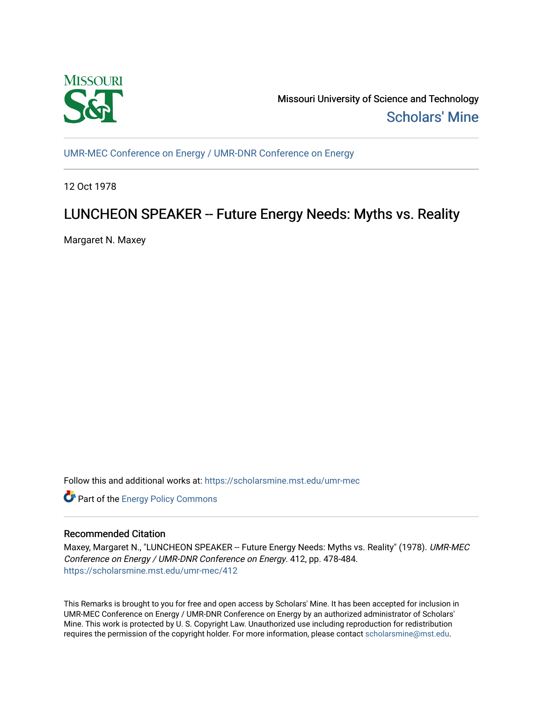

Missouri University of Science and Technology [Scholars' Mine](https://scholarsmine.mst.edu/) 

[UMR-MEC Conference on Energy / UMR-DNR Conference on Energy](https://scholarsmine.mst.edu/umr-mec)

12 Oct 1978

## LUNCHEON SPEAKER -- Future Energy Needs: Myths vs. Reality

Margaret N. Maxey

Follow this and additional works at: [https://scholarsmine.mst.edu/umr-mec](https://scholarsmine.mst.edu/umr-mec?utm_source=scholarsmine.mst.edu%2Fumr-mec%2F412&utm_medium=PDF&utm_campaign=PDFCoverPages) 

Part of the [Energy Policy Commons](http://network.bepress.com/hgg/discipline/1065?utm_source=scholarsmine.mst.edu%2Fumr-mec%2F412&utm_medium=PDF&utm_campaign=PDFCoverPages)

## Recommended Citation

Maxey, Margaret N., "LUNCHEON SPEAKER -- Future Energy Needs: Myths vs. Reality" (1978). UMR-MEC Conference on Energy / UMR-DNR Conference on Energy. 412, pp. 478-484. [https://scholarsmine.mst.edu/umr-mec/412](https://scholarsmine.mst.edu/umr-mec/412?utm_source=scholarsmine.mst.edu%2Fumr-mec%2F412&utm_medium=PDF&utm_campaign=PDFCoverPages) 

This Remarks is brought to you for free and open access by Scholars' Mine. It has been accepted for inclusion in UMR-MEC Conference on Energy / UMR-DNR Conference on Energy by an authorized administrator of Scholars' Mine. This work is protected by U. S. Copyright Law. Unauthorized use including reproduction for redistribution requires the permission of the copyright holder. For more information, please contact [scholarsmine@mst.edu.](mailto:scholarsmine@mst.edu)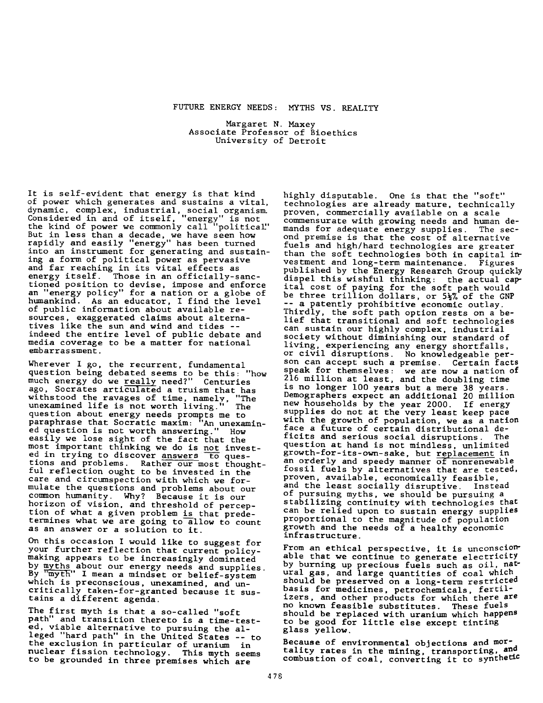## FUTURE ENERGY NEEDS: MYTHS VS. REALITY

Margaret N. Maxey Associate Professor of Bioethics University of Detroit

It is self-evident that energy is that kind of power which generates and sustains a vital, dynamic, complex, industrial, social organism. Considered in and of itself, "energy" is not the kind of power we commonly call "political" But in less than a decade, we have seen how rapidly and easily "energy" has been turned into an instrument for generating and sustaining a form of political power as pervasive and far reaching in its vital effects as energy itself. Those in an officially-sanctioned position to devise, impose and enforce an "energy policy" for a nation or a globe of humankind. As an educator, I find the level of public information about available resources, exaggerated claims about alternatives like the sun and wind and tides -indeed the entire level of public debate and media coverage to be a matter for national embarrassment.

Wherever I go, the recurrent, fundamental question being debated seems to be this: "how much energy do we <u>rea</u>lly need?" Centuries ago, Socrates articulated a truism that has withstood the ravages of time, namely, "The with stood the ravages of time, namely, "The unexamined life is not worth living." The qu estion about energy needs prompts me to paraphrase that Socratic maxim: "An unexamined question is not worth answering." How easily we lose sight of the fact that the most important thinking we do is not invested in trying to discover answers to questions and problems. Rather our most thoughtful reflection ought to be invested in the care and circum spection with which we formulate the questions and problems about our common humanity. Why? Because it is our horizon of vision, and threshold of perception of what a given problem is that predetermines what we are going to allow to count as an answer or a solution to it.

On this occasion I would like to suggest for your further reflection that current policymaking appears to be increasingly dominated by myths about our energy needs and supplies. By "myth" I mean a mindset or belief-system which is preconscious, unexamined, and uncritically taken-for-granted because it sustains a different agenda.

The first myth is that a so-called "soft path" and transition thereto is a time-tested, viable alternative to pursuing the alleged "hard path" in the United States -- to the exclusion in particular of uranium in nuclear fission technology. This myth seems to be grounded in three premises which are

highly disputable. One is that the "soft" technologies are already mature, technically proven, commercially available on a scale commensurate with growing needs and human de-<br>mands for adequate energy supplies. The secmands for adequate energy supplies. ond premise is that the cost of alternative fuels and high/hard technologies are greater than the soft technologies both in capital investment and long-term maintenance. Figures published by the Energy Research Group quickly dispel this wishful thinking: the actual capital cost of paying for the soft path would be three trillion dollars, or 5½% of the GNP -- a patently prohibitive economic outlay. Thirdly, the soft path option rests on a belief that transitional and soft technologies can sustain our highly complex, industrial society without diminishing our standard of living, experiencing any energy shortfalls, or civil disruptions. No knowledgeable person can accept such a premise. Certain facts speak for themselves: we are now a nation of  $216$  million at least, and the doubling time is no longer 100 years but a mere 38 years. Demographers expect an additional 20 million new households by the year 2000. If energy supplies do not at the very least keep pace with the growth of population, we as a nation face a future of certain distributional de-<br>ficits and serious social disruptions. The ficits and serious social disruptions. question at hand is not mindless, unlimited growth-for-its-own-sake, but replacement in an orderly and speedy manner of nonrenewable fossil fuels by alternatives that are tested, proven, available, economically feasible, and the least socially disruptive. Instead of pursuing myths, we should be pursuing a stabilizing continuity with technologies that can be relied upon to sustain energy supplies proportional to the magnitude of population growth and the needs of a healthy economic infrastructure.

From an ethical perspective, it is unconscionable that we continue to generate electricity by burning up precious fuels such as oil, natural gas, and large quantities of coal which should be preserved on a long-term restricted basis for medicines, petrochemicals, fertilizers, and other products for which there are no known feasible substitutes. These fuels should be replaced with uranium which happens to be good for little else except tinting glass yellow.

Because of environmental objections and mortality rates in the mining, transporting, and combustion of coal, converting it to synthetic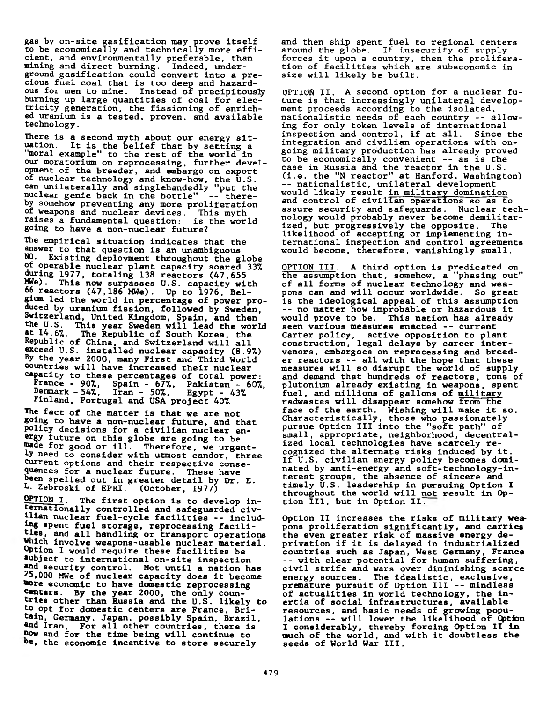gas by on-site gasification may prove itself to be economically and technically more efficient, and environmentally preferable, than mining and direct burning. Indeed, underground gasification could convert into a precious fuel coal that is too deep and hazardous for men to mine. Instead of precipitously burning up large quantities of coal for electricity generation, the fissioning of enriched uranium is a tested, proven, and available technology.

There is a second myth about our energy situation. It is the belief that by setting a "moral example" to the rest of the world in our moratorium on reprocessing, further development of the breeder, and embargo on export of nuclear technology and know-how, the U.S. can unilaterally and singlehandedly "put the nuclear genie back in the bottle" -- thereby somehow preventing any more proliferation <sup>of</sup> weapons and nuclear devices. This myth raises a fundamental question: is the world going to have a non-nuclear future?

The empirical situation indicates that the answer to that question is an unambiguous NO. Existing deployment throughout the globe of operable nuclear plant capacity soared 33% during 1977, to taling  $138$  reactors  $(47,655)$  $MWE$ ). This now surpasses U.S. capacity with <sup>06</sup> reactors (47,186 MWe). Up to 1976, Belgium led the world in percentage of power proquced by uranium fission, followed by Sweden, Switzerland, United Kingdom, Spain, and then the U.S. This year Sweden will lead the world  $\mathbf{a}$ t 14.6%. The Republic of South Korea, the Republic of China, and Switzerland will all exceed U.S. installed nuclear capacity (8.9%) By the year 2000, many First and Third World countries will have increased their nuclear capacity to these percentages of total power: France - 90%, Spain - 67%, Pakistan - 60%, Denmark - 54%, Iran - 50%, Egypt - 43% Finland, Portugal and USA project 40%

The fact of the matter is that we are not going to have a non-nuclear future, and that policy decisions for a civilian nuclear energy future on this globe are going to be wade for good or ill. Therefore, we urgent-<sup>1</sup>y need to consider with utmost candor, three current options and their respective consequences for a nuclear future. These have been spelled out in greater detail by Dr. E.<br>L. Zebroski of EPRI. (October, 1977) L. Zebroski of EPRI.

 $OPTION I$ . The first option is to develop internationally controlled and safeguarded civilian nuclear fuel-cycle facilities -- including spent fuel storage, reprocessing facilities, and all handling or transport operations Which involve weapons-usable nuclear material. Option I would require these facilities be subject to international on-site inspection and security control. Not until a nation has <sup>2</sup>,000 MWe of nuclear capacity does it become wore economic to have domestic reprocessing conters. By the year 2000, the only countries other than Russia and the U.S. likely to to opt for domestic centers are France, Britain, Germany, Japan, possibly Spain, Brazil, and Iran, For all other countries, there is now and for the time being will continue to be, the economic incentive to store securely

and then ship spent fuel to regional centers around the globe. If insecurity of supply forces it upon a country, then the proliferation of facilities which are subeconomic in size will likely be built.

OPTION II, A second option for a nuclear future is that increasingly unilateral development proceeds according to the isolated, nationalistic needs of each country -- allowing for only token levels of international inspection and control, if at all. Since the integration and civilian operations with ongoing military production has already proved to be economically convenient -- as is the case in Russia and the reactor in the U.S. (i.e. the "N reactor" at Hanford, Washington) -- nationalistic, unilateral development would likely result <u>in military domination</u> and control of civilian operations so as to assure security and safeguards. Nuclear technology would probably never become demilitarized, but progressively the opposite. The like lihood of accepting or implementing international inspection and control agreements would become, therefore, vanishingly small.

OPTION III. A third option is predicated on the assumption that, somehow, a "phasing out" of all forms of nuclear technology and weapons can and will occur worldwide. So great is the ideological appeal of this assumption -- no matter how improbable or hazardous it would prove to be. This nation has already seen various measures enacted -- current Carter policy, active opposition to plant construction, legal delays by career intervenors, embargoes on reprocessing and breeder reactors  $-$  all with the hope that these measures will so disrupt the world of supply and demand that hundreds of reactors, tons of plutonium already existing in weapons, spent fuel, and millions of gallons of military radwastes will disappear somehow from the face of the earth. Wishing will make it so. Characteristically, those who passionately pursue Option III into the "soft path" of small, appropriate, neighborhood, decentralized local technologies have scarcely recognized the alternate risks induced by it. If U.S. civilian energy policy becomes dominated by anti-energy and soft-technology-interest groups, the absence of sincere and timely U.S. leadership in pursuing Option I throughout the world will <u>not</u> result in Option III, but in Option II.

Option II increases the risks of military weapons proliferation significantly, and carries the even greater risk of massive energy deprivation if it is delayed in industrialized countries such as Japan, West Germany, France -- with clear potential for human suffering, civil strife and wars over diminishing scarce energy sources. The idealistic, exclusive, premature pursuit of Option III -- mindless of actualities in world technology, the inertia of social infrastructures, available resources, and basic needs of growing populations -- will lower the likelihood of Option I considerably, thereby forcing Option II in much of the world, and with it doubtless the seeds of World War III.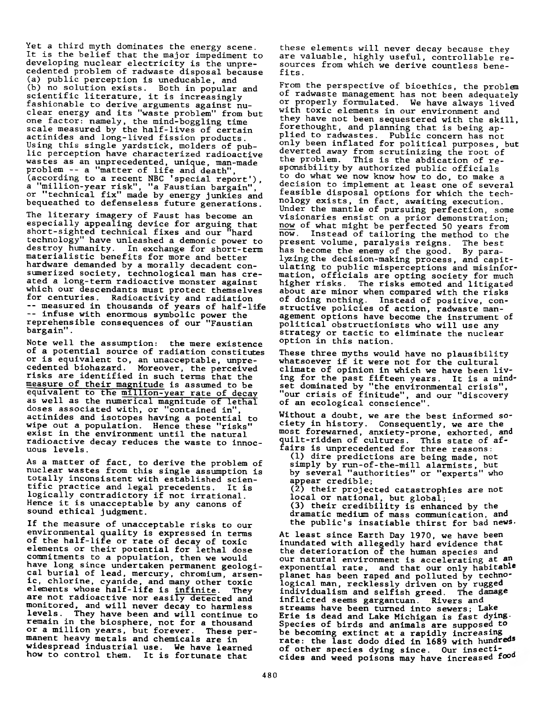Yet a third myth dominates the energy scene. It is the belief that the major impediment to developing nuclear electricity is the unprecedented problem of radwaste disposal because (a) public perception is uneducable, and (b) no solution exists. Both in popular and scientific literature, it is increasingly fashionable to derive arguments against nuclear energy and its "waste problem" from but one factor: namely, the mind-boggling time scale measured by the half-lives of certain actinides and long-lived fission products. Using this single yardstick, molders of public perception have characterized radioactive wastes as an unprecedented, unique, man-made problem -- a "matter of life and death", (according to a recent NBC 'special report'), a "million-year risk", "a Faustian bargain", or "technical fix" made by energy junkies and bequeathed to defenseless future generations.

The literary imagery of Faust has become an especially appealing device for arguing that short-sighted technical fixes and our "hard technology" have unleashed a demonic power to destroy humanity. In exchange for short-term materialistic benefits for more and better hardware demanded by a morally decadent consumerized society, technological man has created a long-term radioactive monster against which our descendants must protect themselves for centuries. Radioactivity and radiation -- measured in thousands of years of half-life -- infuse with enormous symbolic power the reprehensible consequences of our "Faustian bargain".

Note well the assumption: the mere existence of a potential source of radiation constitutes or is equivalent to, an unacceptable, unprecedented biohazard. Moreover, the perceived risks are identified in such terms that the measure of their magnitude is assumed to be equivalent to the million-year rate of decay as well as the numerical magnitude of lethal doses associated with, or "contained in", actinides and isotopes having a potential to wipe out a population. Hence these "risks" exist in the environment until the natural radioactive decay reduces the waste to innocuous levels.

As a matter of fact, to derive the problem of nuclear wastes from this single assumption is totally inconsistent with established scientific practice and legal precedents. It is logically contradictory if not irrational. Hence it is unacceptable by any canons of sound ethical judgment.

If the measure of unacceptable risks to our environmental quality is expressed in terms of the half-life or rate of decay of toxic elements or their potential for lethal dose commitments to a population, then we would have long since undertaken permanent geological burial of lead, mercury, chromium, arsenic, chlorine, cyanide, and many other toxic elements whose half-life is infinite. They are not radioactive nor easily detected and monitored, and will never decay to harmless levels. They have been and will continue to remain in the biosphere, not for a thousand or a million years, but forever. These permanent heavy metals and chemicals are in widespread industrial use. We have learned how to control them. It is fortunate that

these elements will never decay because they are valuable, highly useful, controllable resources from which we derive countless benefits.

From the perspective of bioethics, the problem of radwaste management has not been adequately or properly formulated. We have always lived with toxic elements in our environment and they have not been sequestered with the skill, forethought, and planning that is being applied to radwastes. Public concern has not only been inflated for political purposes, but deverted away from scrutinizing the root of the problem. This is the abdication of responsibility by authorized public officials to do what we now know how to do, to make a decision to implement at least one of several feasible disposal options for which the technology exists, in fact, awaiting execution. Under the mantle of pursuing perfection, some visionaries ensist on a prior demonstration; now of what might be perfected 50 years from now. Instead of tailoring the method to the present volume, paralysis reigns. The best has become the enemy of the good. By paralyzing the decision-making process, and capitulating to public misperceptions and misinformation, officials are opting society for much higher risks. The risks emoted and litigated about are minor when compared with the risks of doing nothing. Instead of positive, constructive policies of action, radwaste management options have become the instrument of political obstructionists who will use any strategy or tactic to eliminate the nuclear option in this nation.

These three myths would have no plausibility whatsoever if it were not for the cultural climate of opinion in which we have been living for the past fifteen years. It is a mindset dominated by "the environmental crisis", "our crisis of finitude", and our "discovery of an ecological conscience".

Without a doubt, we are the best informed society in history. Consequently, we are the most forewarned, anxiety-prone, exhorted, and quilt-ridden of cultures. This state of affairs is unprecedented for three reasons: (1) dire predictions are being made, not simply by run-of-the-mill alarmists, but

by several "authorities" or "experts" who appear credible; (2) their projected catastrophies are not

local or national, but global; (3) their credibility is enhanced by the dramatic medium of mass communication, and the public's insatiable thirst for bad news.

At least since Earth Day 1970, we have been inundated with allegedly hard evidence that the deterioration of the human species and our natural environment is accelerating at an exponential rate, and that our only habitable planet has been raped and polluted by technological man, recklessly driven on by rugged individualism and selfish greed. The damage inflicted seems gargantuan. Rivers and streams have been turned into sewers; Lake Erie is dead and Lake Michigan is fast dying. Species of birds and animals are supposed to be becoming extinct at a rapidly increasing rate: the last dodo died in 1689 with hundred<sup>s</sup> of other species dying since. Our insecticides and weed poisons may have increased food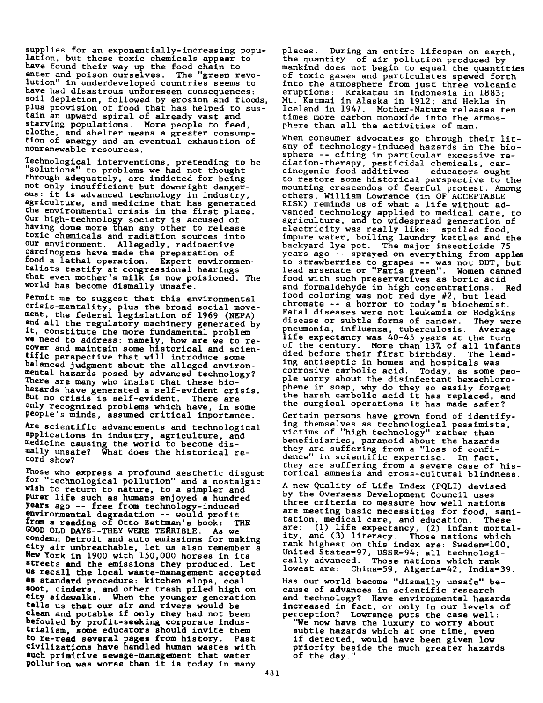supplies for an exponentially-increasing population, but these toxic chemicals appear to have found their way up the food chain to enter and poison ourselves. The "green revolution" in underdeveloped countries seems to have had disastrous unforeseen consequences: soil depletion, followed by erosion and floods, plus provision of food that has helped to sustain an upward spiral of already vast and starving populations. More people to feed, clothe, and shelter means a greater consumption of energy and an eventual exhaustion of nonrenewable resources.

Technological interventions, pretending to be "solutions" to problems we had not thought through adequately, are indicted for being not only insufficient but downright dangerous: it is advanced technology in industry, agriculture, and medicine that has generated the environmental crisis in the first place. Our high-technology society is accused of having done more than any other to release toxic chemicals and radiation sources into our environment. Allegedly, radioactive carcinogens have made the preparation of <sup>tood</sup> a lethal operation. Expert environmentalists testify at congressional hearings that even mother's milk is now poisioned. The world has become dismally unsafe.

Permit me to suggest that this environmental crisis-mentality, plus the broad social movement, the federal legislation of 1969 (NEPA) and all the regulatory machinery generated by it, constitute the more fundamental problem we need to address: namely, how are we to recover and maintain some historical and scientific perspective that will introduce some balanced judgment about the alleged environmental hazards posed by advanced technology? There are many who insist that these biohazards have generated a self-evident crisis. But no crisis is self-evident. There are only recognized problems which have, in some people's minds, assumed critical importance.

Are scientific advancements and technological applications in industry, agriculture, and medicine causing the world to become dismally unsafe? What does the historical record show?

Those who express a profound aesthetic disgust for "technological pollution" and a nostalgic wish to return to nature, to a simpler and purer life such as humans enjoyed a hundred years ago -- free from technology-induced environmental degradation -- would profit from a reading of Otto Bettman's book: THE GOOD OLD DAYS--THEY WERE TERRIBLE. As we condemn Detroit and auto emissions for making  $City$  air unbreathable, let us also remember a New York in 1900 with 150,000 horses in its streets and the emissions they produced. Let us recall the local waste-management accepted **as standard procedure: kitchen slops, coal soot, cinders, and other trash piled high on** city sidewalks. When the younger generation tells us that our air and rivers would be clean and potable if only they had not been befouled by profit-seeking corporate industrialism, some educators should invite them to re-read several pages from history. Past civilizations have handled human wastes with such primitive sewage-management that water pollution was worse than it is today in many

places. During an entire lifespan on earth, the quantity of air pollution produced by mankind does not begin to equal the quantities of toxic gases and particulates spewed forth into the atmosphere from just three volcanic eruptions: Krakatau in Indonesia in 1883; Mt. Katmai in Alaska in 1912; and Hekla in Iceland in 1947. Mother-Nature releases ten times more carbon monoxide into the atmosphere than all the activities of man.

When consumer advocates go through their litany of technology-induced hazards in the biosphere -- citing in particular excessive radiation-therapy, pesticidal chemicals, carcinogenic food additives -- educators ought to restore some historical perspective to the mounting crescendos of fearful protest. Among others, William Lowrance (in OF ACCEPTABLE RISK) reminds us of what a life without advanced technology applied to medical care, to agriculture, and to widespread generation of electricity was really like: spoiled food, impure water, boiling laundry kettles and the backyard lye pot. The major insecticide 75 years ago -- sprayed on everything from apples to strawberries to grapes -- was not DDT, but lead arsenate or "Paris green". Women canned food with such preservatives as boric acid and formaldehyde in high concentrations. Red food coloring was not red dye  $\#2$ , but lead chromate -- a horror to today's biochemist. Fatal diseases were not leukemia or Hodgkins disease or subtle forms of cancer. They were pneumonia, influenza, tuberculosis. Average life expectancy was 40-45 years at the turn of the century. More than 13% of all infants died before their first birthday. The leading antiseptic in homes and hospitals was corrosive carbolic acid. Today, as some people worry about the disinfectant hexachlorophene in soap, why do they so easily forget the harsh carbolic acid it has replaced, and the surgical operations it has made safer?

Certain persons have grown fond of identifying themselves as technological pessimists, victims of "high technology" rather than beneficiaries, paranoid about the hazards they are suffering from a "loss of confidence" in scientific expertise. In fact, they are suffering from a severe case of historical amnesia and cross-cultural blindness.

A new Quality of Life Index (PQLI) devised by the Overseas Development Council uses three criteria to measure how well nations are meeting basic necessities for food, sanitation, medical care, and education. These<br>are: (1) life expectancy. (2) infant morta  $(1)$  life expectancy,  $(2)$  infant mortality, and (3) literacy. Those nations which rank highest on this index are: Sweden=100, United States=97, USSR=94; all technologically advanced. Those nations which rank lowest are: China=59, Algeria=42, India=39.

Has our world become "dismally unsafe" because of advances in scientific research and technology? Have environmental hazards increased in fact, or only in our levels of perception? Lowrance puts the case well: "We now have the luxury to worry about subtle hazards which at one time, even if detected, would have been given low priority beside the much greater hazards of the day.'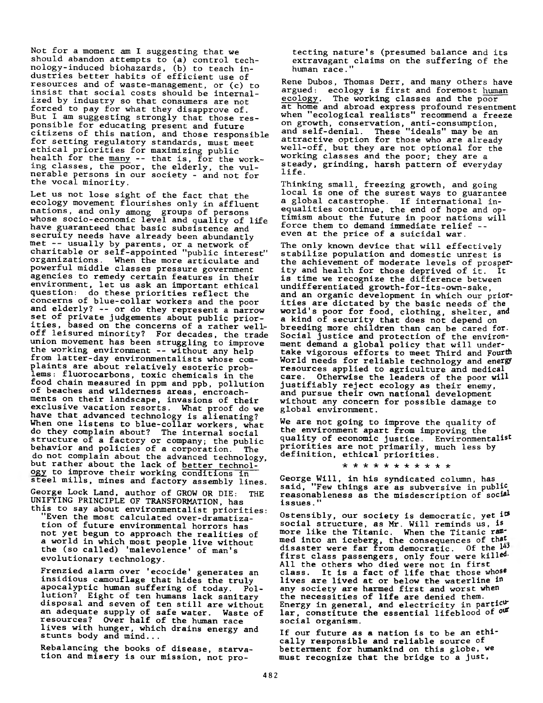Not for a moment am I suggesting that we should abandon attempts to (a) control technology-induced biohazards, (b) to teach industries better habits of efficient use of resources and of waste-management, or (c) to insist that social costs should be internalized by industry so that consumers are not forced to pay for what they disapprove of. But I am suggesting strongly that those responsible for educating present and future citizens of this nation, and those responsible for setting regulatory standards, must meet ethical priorities for maximizing public health for the many -- that is, for the working classes, the poor, the elderly, the vulnerable persons in our society - and not for the vocal minority.

Let us not lose sight of the fact that the ecology movement flourishes only in affluent nations, and only among groups of persons whose socio-economic level and quality of life have guaranteed that basic subsistence and secruity needs have already been abundantly met -- usually by parents, or a network of charitable or self-appointed "public interest" organizations. When the more articulate and powerful middle classes pressure government agencies to remedy certain features in their environment, let us ask an important ethical question: do these priorities reflect the concerns of blue-collar workers and the poor and elderly? -- or do they represent a narrow set of private judgements about public priorities, based on the concerns of a rather welloff leisured minority? For decades, the trade union movement has been struggling to improve the working environment -- without any help from latter-day environmentalists whose complaints are about relatively esoteric problems: fluorocarbons, toxic chemicals in the food chain measured in ppm and ppb, pollution of beaches and wilderness areas, encroachments on their landscape, invasions of their exclusive vacation resorts. What proof do we have that advanced technology is alienating? When one listens to blue-collar workers, what do they complain about? The internal social structure of a factory or company; the public behavior and policies of a corporation. The do not complain about the advanced technology, but rather about the lack of better technology to improve their working conditions in steel mills, mines and factory assembly lines.

George Lock Land, author of GROW OR DIE: THE UNIFYING PRINCIPLE OF TRANSFORMATION, has this to say about environmentalist priorities:

"Even the most calculated over-dramatization of future environmental horrors has not yet begun to approach the realities of a world in which most people live without the (so called) 'malevolence' of man's evolutionary technology.

Frenzied alarm over 'ecocide' generates an insidious camouflage that hides the truly apocalyptic human suffering of today. Pollution? Eight of ten humans lack sanitary disposal and seven of ten still are without an adequate supply of safe water. Waste of resources? Over half of the human race lives with hunger, which drains energy and stunts body and  $\min$  ...

Rebalancing the books of disease, starvation and misery is our mission, not pro-

tecting nature's (presumed balance and its extravagant claims on the suffering of the human race."

Rene Dubos, Thomas Derr, and many others have argued: ecology is first and foremost human<br>ecology. The working classes and the poor The working classes and the poor at home and abroad express profound resentment when "ecological realists" recommend a freeze on growth, conservation, anti-consumption, and self-denial. These "ideals" may be an attractive option for those who are already well-off, but they are not optional for the working classes and the poor; they are a steady, grinding, harsh pattern of everyday life.

Thinking small, freezing growth, and going local is one of the surest ways to guarantee a global catastrophe. If international inequalities continue, the end of hope and optimism about the future in poor nations will force them to demand immediate relief -even at the price of a suicidal war.

The only known device that will effectively stabilize population and domestic unrest is the achievement of moderate levels of prosperity and health for those deprived of it. It is time we recognize the difference between undifferentiated growth-for-its-own-sake, and an organic development in which **our prior**ities are dictated by the basic needs of the world's poor for food, clothing, shelter, and a kind of security that does not depend on breeding more children than can be cared for. Social justice and protection of the environment demand a global policy that will undertake vigorous efforts to meet Third and Fourth World needs for reliable technology and energy resources applied to agriculture and medical<br>care. Otherwise the leaders of the poor wil Otherwise the leaders of the poor will justifiably reject ecology as their enemy, and pursue their own national development without any concern for possible damage to global environment.

We are not going to improve the quality of the environment apart from improving the quality of economic justice. Environmentalist priorities are not primarily, much less by definition, ethical priorities.

\* \* \* \* \* \* \* \* \* \* \*

George Will, in his syndicated column, has said, "Few things are as subversive in public reasonableness as the misdescription of social issues.

Ostensibly, our society is democratic, yet <sup>its</sup> social structure, as Mr. Will reminds us, is more like the Titanic. When the Titanic rammed into an iceberg, the consequences of that disaster were far from democratic. Of the  $14$ <sup>3</sup> first class passengers, only four were killed-All the others who died were not in first class. It is a fact of life that those whose lives are lived at or below the waterline in any society are harmed first and worst when the necessities of life are denied them. Energy in general, and electricity in particular, constitute the essential lifeblood of our social organism.

If our future as a nation is to be an ethically responsible and reliable source of betterment for humankind on this globe, we must recognize that the bridge to a just,